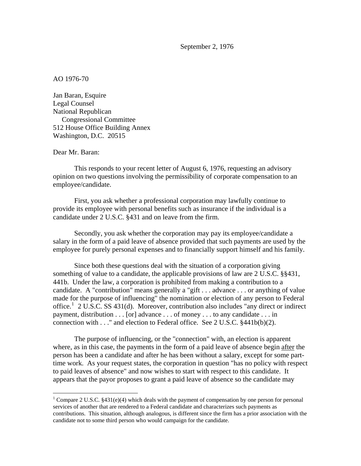September 2, 1976

AO 1976-70

Jan Baran, Esquire Legal Counsel National Republican Congressional Committee 512 House Office Building Annex Washington, D.C. 20515

Dear Mr. Baran:

<u>.</u>

This responds to your recent letter of August 6, 1976, requesting an advisory opinion on two questions involving the permissibility of corporate compensation to an employee/candidate.

First, you ask whether a professional corporation may lawfully continue to provide its employee with personal benefits such as insurance if the individual is a candidate under 2 U.S.C. §431 and on leave from the firm.

Secondly, you ask whether the corporation may pay its employee/candidate a salary in the form of a paid leave of absence provided that such payments are used by the employee for purely personal expenses and to financially support himself and his family.

Since both these questions deal with the situation of a corporation giving something of value to a candidate, the applicable provisions of law are 2 U.S.C. §§431, 441b. Under the law, a corporation is prohibited from making a contribution to a candidate. A "contribution" means generally a "gift . . . advance . . . or anything of value made for the purpose of influencing" the nomination or election of any person to Federal office.<sup>[1](#page-0-0)</sup> 2 U.S.C. SS 431(d). Moreover, contribution also includes "any direct or indirect payment, distribution . . . [or] advance . . . of money . . . to any candidate . . . in connection with . . ." and election to Federal office. See 2 U.S.C. §441b(b)(2).

The purpose of influencing, or the "connection" with, an election is apparent where, as in this case, the payments in the form of a paid leave of absence begin after the person has been a candidate and after he has been without a salary, except for some parttime work. As your request states, the corporation in question "has no policy with respect to paid leaves of absence" and now wishes to start with respect to this candidate. It appears that the payor proposes to grant a paid leave of absence so the candidate may

<span id="page-0-0"></span><sup>&</sup>lt;sup>1</sup> Compare 2 U.S.C. §431(e)(4) which deals with the payment of compensation by one person for personal services of another that are rendered to a Federal candidate and characterizes such payments as contributions. This situation, although analogous, is different since the firm has a prior association with the candidate not to some third person who would campaign for the candidate.